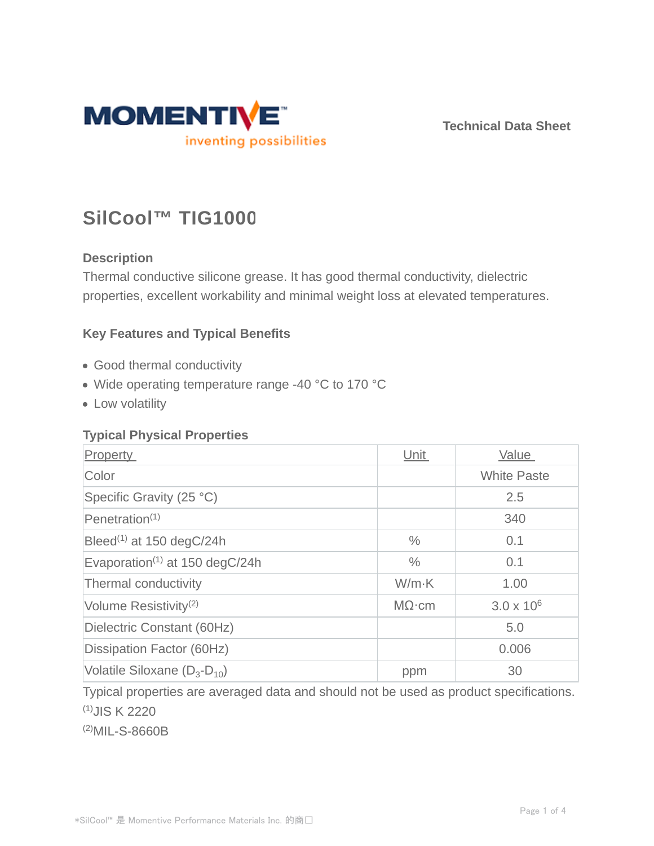

**Technical Data Sheet**

# **SilCool™ TIG1000**

# **Description**

Thermal conductive silicone grease. It has good thermal conductivity, dielectric properties, excellent workability and minimal weight loss at elevated temperatures.

## **Key Features and Typical Benefits**

- Good thermal conductivity
- Wide operating temperature range -40 °C to 170 °C
- Low volatility

## **Typical Physical Properties**

| Property                                                | Unit          | Value               |
|---------------------------------------------------------|---------------|---------------------|
| Color                                                   |               | <b>White Paste</b>  |
| Specific Gravity (25 °C)                                |               | 2.5                 |
| $P$ enetration <sup>(1)</sup>                           |               | 340                 |
| Bleed <sup>(1)</sup> at 150 degC/24h                    | $\%$          | 0.1                 |
| Evaporation <sup><math>(1)</math></sup> at 150 degC/24h | $\frac{0}{0}$ | 0.1                 |
| Thermal conductivity                                    | $W/m-K$       | 1.00                |
| Volume Resistivity <sup>(2)</sup>                       | $M\Omega$ ·cm | $3.0 \times 10^{6}$ |
| Dielectric Constant (60Hz)                              |               | 5.0                 |
| Dissipation Factor (60Hz)                               |               | 0.006               |
| Volatile Siloxane $(D_3-D_{10})$                        | ppm           | 30                  |

Typical properties are averaged data and should not be used as product specifications. (1)JIS K 2220

(2)MIL-S-8660B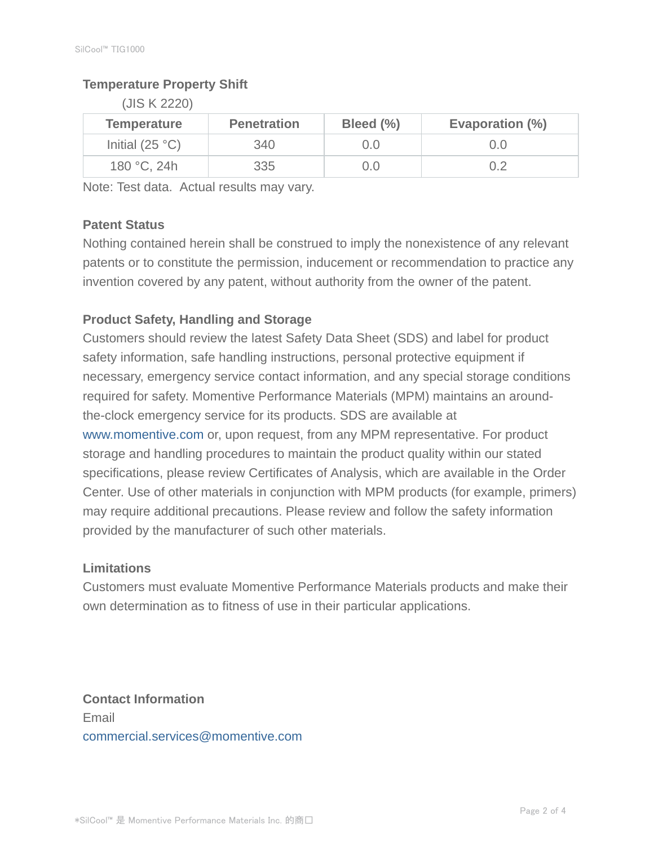## **Temperature Property Shift**

(JIS K 2220)

| <b>Temperature</b> | <b>Penetration</b> | Bleed (%) | Evaporation (%) |
|--------------------|--------------------|-----------|-----------------|
| Initial $(25 °C)$  | 340                | J.O       | 0.0             |
| 180 °C, 24h        | 335                | J.O       | 0.2             |

Note: Test data. Actual results may vary.

## **Patent Status**

Nothing contained herein shall be construed to imply the nonexistence of any relevant patents or to constitute the permission, inducement or recommendation to practice any invention covered by any patent, without authority from the owner of the patent.

## **Product Safety, Handling and Storage**

Customers should review the latest Safety Data Sheet (SDS) and label for product safety information, safe handling instructions, personal protective equipment if necessary, emergency service contact information, and any special storage conditions required for safety. Momentive Performance Materials (MPM) maintains an aroundthe-clock emergency service for its products. SDS are available at www.momentive.com or, upon request, from any MPM representative. For product storage and handling procedures to maintain the product quality within our stated specifications, please review Certificates of Analysis, which are available in the Order Center. Use of other materials in conjunction with MPM products (for example, primers) may require additional precautions. Please review and follow the safety information provided by the manufacturer of such other materials.

## **Limitations**

Customers must evaluate Momentive Performance Materials products and make their own determination as to fitness of use in their particular applications.

**Contact Information** Email commercial.services@momentive.com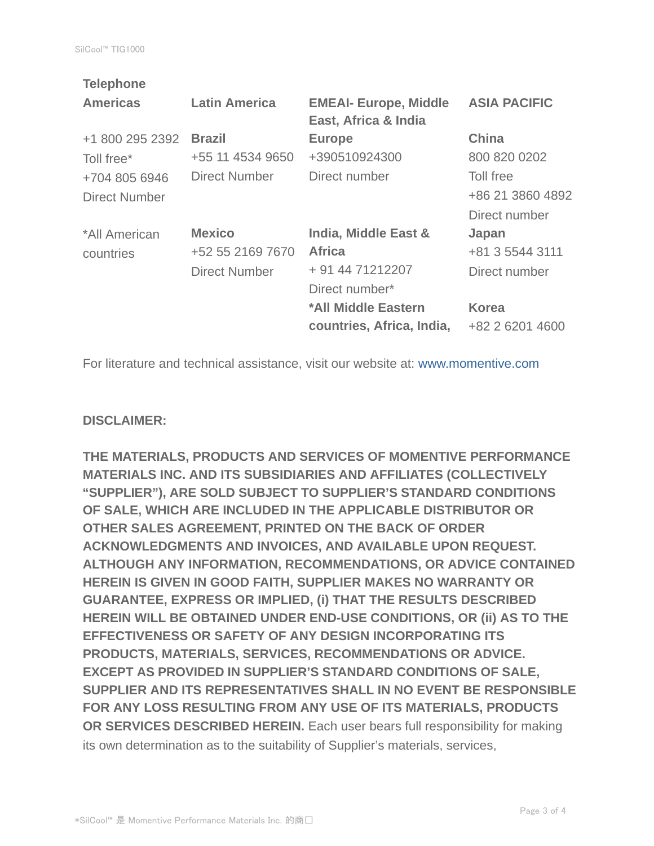| <b>Telephone</b> |                      |                              |                     |
|------------------|----------------------|------------------------------|---------------------|
| <b>Americas</b>  | <b>Latin America</b> | <b>EMEAI- Europe, Middle</b> | <b>ASIA PACIFIC</b> |
|                  |                      | East, Africa & India         |                     |
| +1 800 295 2392  | <b>Brazil</b>        | <b>Europe</b>                | <b>China</b>        |
| Toll free*       | +55 11 4534 9650     | +390510924300                | 800 820 0202        |
| +704 805 6946    | <b>Direct Number</b> | Direct number                | Toll free           |
| Direct Number    |                      |                              | +86 21 3860 4892    |
|                  |                      |                              | Direct number       |
| *All American    | <b>Mexico</b>        | India, Middle East &         | Japan               |
| countries        | +52 55 2169 7670     | <b>Africa</b>                | +81 3 5544 3111     |
|                  | <b>Direct Number</b> | + 91 44 71212207             | Direct number       |
|                  |                      | Direct number*               |                     |
|                  |                      | *All Middle Eastern          | <b>Korea</b>        |
|                  |                      | countries, Africa, India,    | +82 2 6201 4600     |
|                  |                      |                              |                     |

For literature and technical assistance, visit our website at: www.momentive.com

#### **DISCLAIMER:**

**THE MATERIALS, PRODUCTS AND SERVICES OF MOMENTIVE PERFORMANCE MATERIALS INC. AND ITS SUBSIDIARIES AND AFFILIATES (COLLECTIVELY "SUPPLIER"), ARE SOLD SUBJECT TO SUPPLIER'S STANDARD CONDITIONS OF SALE, WHICH ARE INCLUDED IN THE APPLICABLE DISTRIBUTOR OR OTHER SALES AGREEMENT, PRINTED ON THE BACK OF ORDER ACKNOWLEDGMENTS AND INVOICES, AND AVAILABLE UPON REQUEST. ALTHOUGH ANY INFORMATION, RECOMMENDATIONS, OR ADVICE CONTAINED HEREIN IS GIVEN IN GOOD FAITH, SUPPLIER MAKES NO WARRANTY OR GUARANTEE, EXPRESS OR IMPLIED, (i) THAT THE RESULTS DESCRIBED HEREIN WILL BE OBTAINED UNDER END-USE CONDITIONS, OR (ii) AS TO THE EFFECTIVENESS OR SAFETY OF ANY DESIGN INCORPORATING ITS PRODUCTS, MATERIALS, SERVICES, RECOMMENDATIONS OR ADVICE. EXCEPT AS PROVIDED IN SUPPLIER'S STANDARD CONDITIONS OF SALE, SUPPLIER AND ITS REPRESENTATIVES SHALL IN NO EVENT BE RESPONSIBLE FOR ANY LOSS RESULTING FROM ANY USE OF ITS MATERIALS, PRODUCTS OR SERVICES DESCRIBED HEREIN.** Each user bears full responsibility for making its own determination as to the suitability of Supplier's materials, services,